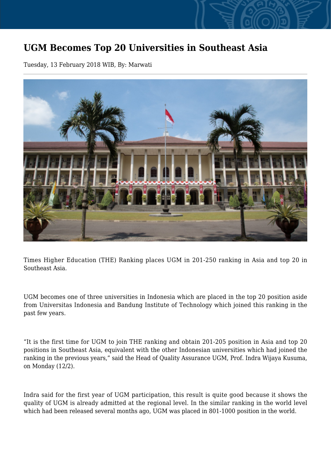## **UGM Becomes Top 20 Universities in Southeast Asia**

Tuesday, 13 February 2018 WIB, By: Marwati



Times Higher Education (THE) Ranking places UGM in 201-250 ranking in Asia and top 20 in Southeast Asia.

UGM becomes one of three universities in Indonesia which are placed in the top 20 position aside from Universitas Indonesia and Bandung Institute of Technology which joined this ranking in the past few years.

"It is the first time for UGM to join THE ranking and obtain 201-205 position in Asia and top 20 positions in Southeast Asia, equivalent with the other Indonesian universities which had joined the ranking in the previous years," said the Head of Quality Assurance UGM, Prof. Indra Wijaya Kusuma, on Monday (12/2).

Indra said for the first year of UGM participation, this result is quite good because it shows the quality of UGM is already admitted at the regional level. In the similar ranking in the world level which had been released several months ago, UGM was placed in 801-1000 position in the world.